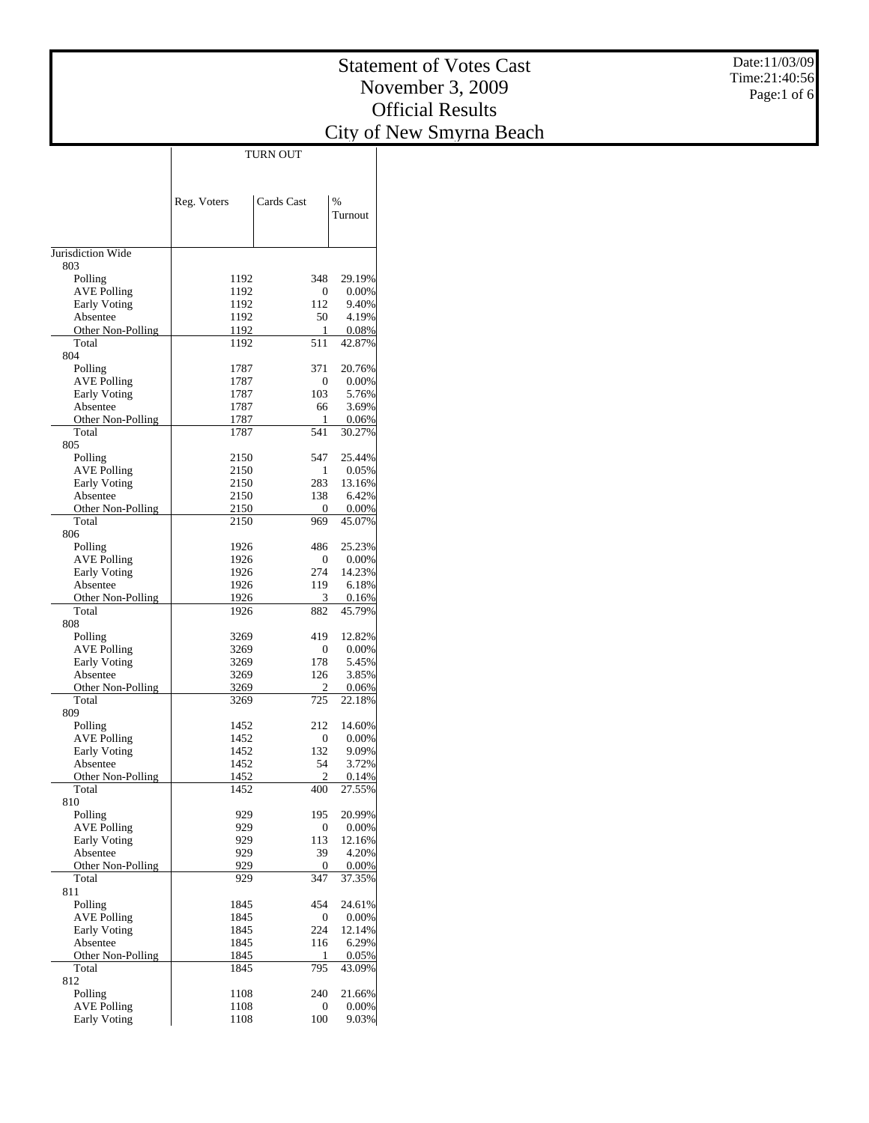| Date:11/03/09 |
|---------------|
| Time:21:40:56 |
| Page:1 of $6$ |

|                                           | Reg. Voters  | Cards Cast   | $\frac{0}{6}$   |
|-------------------------------------------|--------------|--------------|-----------------|
|                                           |              |              | Turnout         |
|                                           |              |              |                 |
| Jurisdiction Wide                         |              |              |                 |
| 803                                       |              |              |                 |
| Polling                                   | 1192         | 348          | 29.19%          |
| <b>AVE Polling</b>                        | 1192         | 0            | 0.00%           |
| <b>Early Voting</b>                       | 1192         | 112          | 9.40%           |
| Absentee                                  | 1192         | 50           | 4.19%           |
| Other Non-Polling                         | 1192         | 1            | 0.08%           |
| Total<br>804                              | 1192         | 511          | 42.87%          |
| Polling                                   | 1787         | 371          | 20.76%          |
| <b>AVE Polling</b>                        | 1787         | 0            | 0.00%           |
| <b>Early Voting</b>                       | 1787         | 103          | 5.76%           |
| Absentee                                  | 1787         | 66           | 3.69%           |
| Other Non-Polling                         | 1787         | 1            | 0.06%           |
| Total                                     | 1787         | 541          | 30.27%          |
| 805                                       |              |              |                 |
| Polling                                   | 2150         | 547          | 25.44%          |
| <b>AVE Polling</b>                        | 2150         | 1            | 0.05%           |
| <b>Early Voting</b>                       | 2150         | 283          | 13.16%          |
| Absentee                                  | 2150         | 138          | 6.42%           |
| Other Non-Polling<br>Total                | 2150         | $\mathbf{0}$ | 0.00%           |
| 806                                       | 2150         | 969          | 45.07%          |
| Polling                                   | 1926         | 486          | 25.23%          |
| <b>AVE Polling</b>                        | 1926         | 0            | 0.00%           |
| <b>Early Voting</b>                       | 1926         | 274          | 14.23%          |
| Absentee                                  | 1926         | 119          | 6.18%           |
| Other Non-Polling                         | 1926         | 3            | 0.16%           |
| Total                                     | 1926         | 882          | 45.79%          |
| 808                                       |              |              |                 |
| Polling                                   | 3269         | 419          | 12.82%          |
| <b>AVE Polling</b>                        | 3269         | 0            | 0.00%           |
| <b>Early Voting</b>                       | 3269         | 178          | 5.45%           |
| Absentee                                  | 3269         | 126          | 3.85%           |
| Other Non-Polling<br>Total                | 3269<br>3269 | 2<br>725     | 0.06%<br>22.18% |
| 809                                       |              |              |                 |
| Polling                                   | 1452         | 212          | 14.60%          |
| <b>AVE Polling</b>                        | 1452         | 0            | 0.00%           |
| <b>Early Voting</b>                       | 1452         | 132          | 9.09%           |
| Absentee                                  | 1452         | 54           | 3.72%           |
| Other Non-Polling                         | 1452         | 2            | 0.14%           |
| Total                                     | 1452         | 400          | 27.55%          |
| 810                                       |              |              |                 |
| Polling                                   | 929          | 195          | 20.99%          |
| <b>AVE Polling</b>                        | 929          | 0            | 0.00%           |
| <b>Early Voting</b><br>Absentee           | 929<br>929   | 113<br>39    | 12.16%<br>4.20% |
| Other Non-Polling                         | 929          | 0            | 0.00%           |
| Total                                     | 929          | 347          | 37.35%          |
| 811                                       |              |              |                 |
| Polling                                   | 1845         | 454          | 24.61%          |
| <b>AVE Polling</b>                        | 1845         | 0            | 0.00%           |
| <b>Early Voting</b>                       | 1845         | 224          | 12.14%          |
| Absentee                                  | 1845         | 116          | 6.29%           |
| Other Non-Polling                         | 1845         | 1            | 0.05%           |
| Total                                     | 1845         | 795          | 43.09%          |
| 812                                       |              |              |                 |
| Polling                                   | 1108         | 240          | 21.66%          |
| <b>AVE Polling</b><br><b>Early Voting</b> | 1108<br>1108 | 0<br>100     | 0.00%<br>9.03%  |
|                                           |              |              |                 |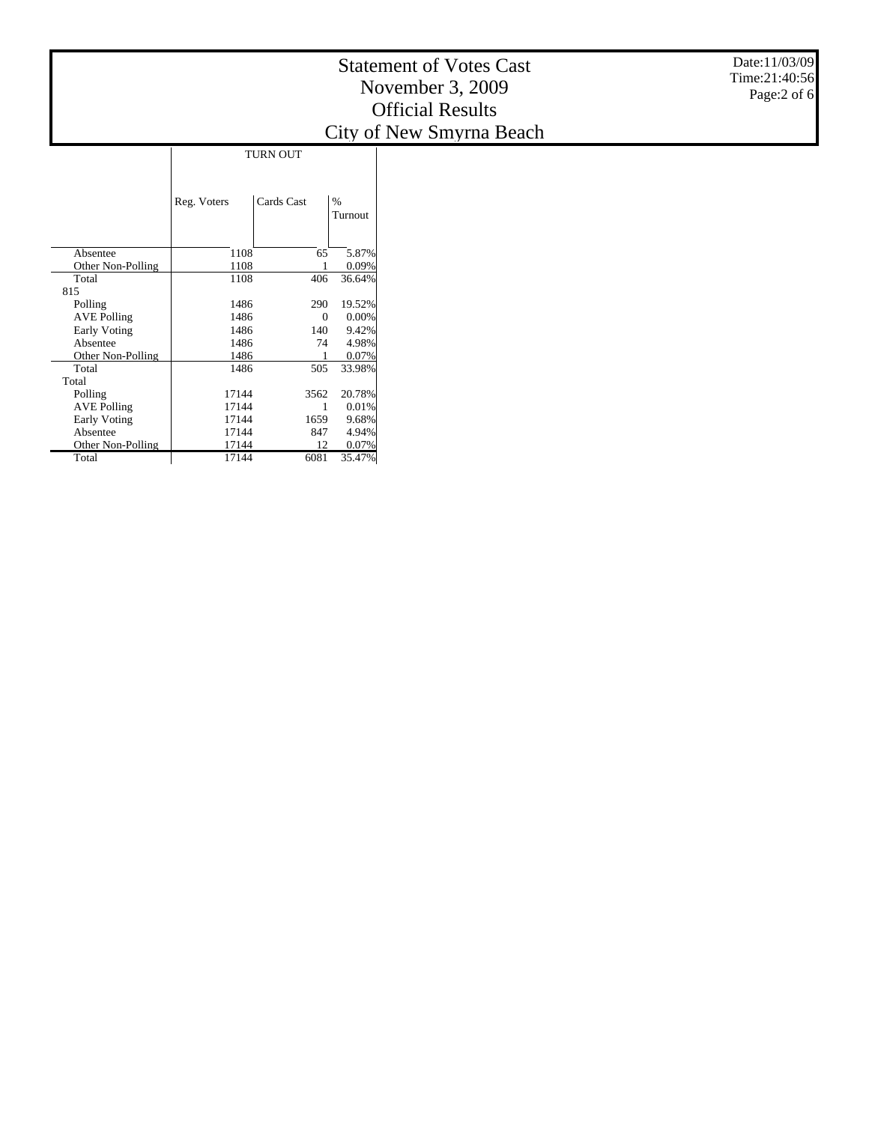|                     | Reg. Voters | Cards Cast | $\%$<br>Turnout |
|---------------------|-------------|------------|-----------------|
| Absentee            | 1108        | 65         | 5.87%           |
| Other Non-Polling   | 1108        |            | 0.09%           |
| Total               | 1108        | 406        | 36.64%          |
| 815                 |             |            |                 |
| Polling             | 1486        | 290        | 19.52%          |
| <b>AVE Polling</b>  | 1486        | 0          | 0.00%           |
| <b>Early Voting</b> | 1486        | 140        | 9.42%           |
| Absentee            | 1486        | 74         | 4.98%           |
| Other Non-Polling   | 1486        |            | 0.07%           |
| Total               | 1486        | 505        | 33.98%          |
| Total               |             |            |                 |
| Polling             | 17144       | 3562       | 20.78%          |
| <b>AVE Polling</b>  | 17144       | 1          | 0.01%           |
| <b>Early Voting</b> | 17144       | 1659       | 9.68%           |
| Absentee            | 17144       | 847        | 4.94%           |
| Other Non-Polling   | 17144       | 12         | 0.07%           |
| Total               | 17144       | 6081       | 35.47%          |

Date:11/03/09 Time:21:40:56 Page:2 of 6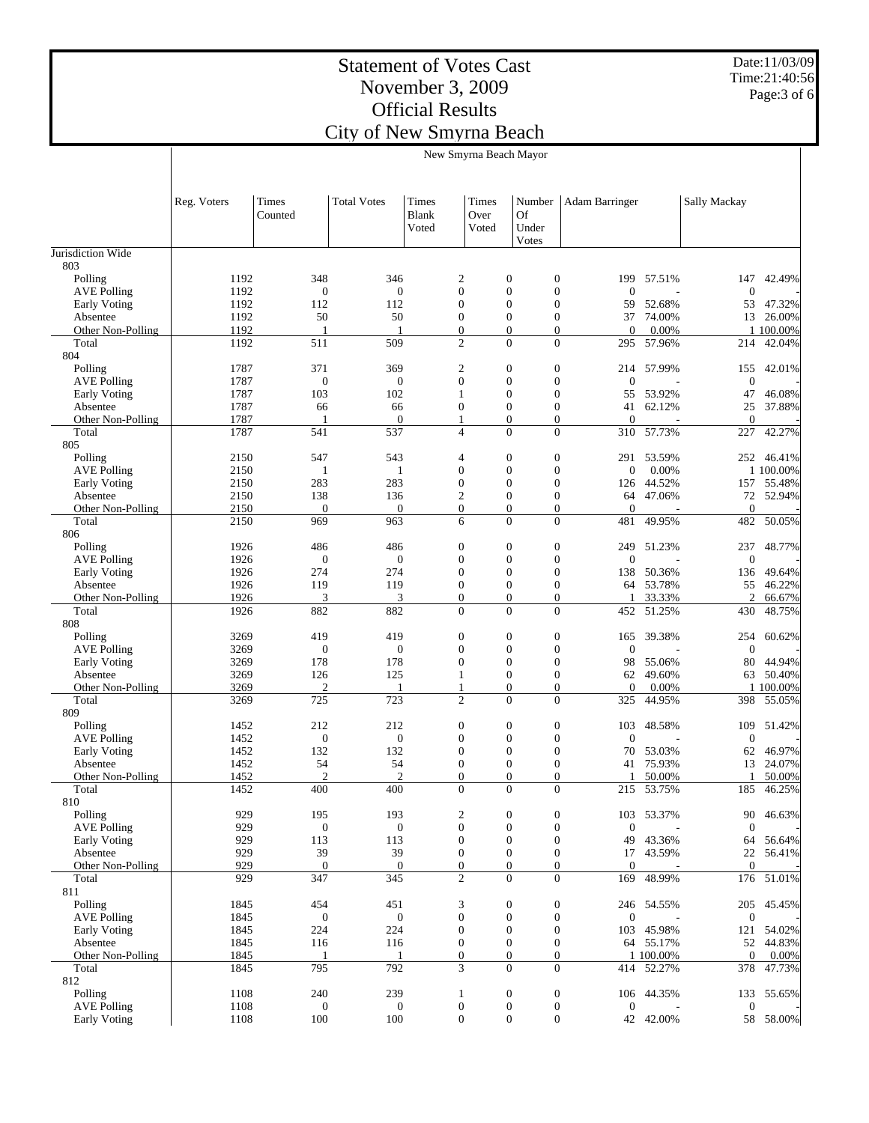Date:11/03/09 Time:21:40:56 Page:3 of 6

|                               | New Smyrna Beach Mayor |                       |                         |                         |                                    |                                       |                                                               |                         |                       |                         |
|-------------------------------|------------------------|-----------------------|-------------------------|-------------------------|------------------------------------|---------------------------------------|---------------------------------------------------------------|-------------------------|-----------------------|-------------------------|
|                               |                        |                       |                         |                         |                                    |                                       |                                                               |                         |                       |                         |
|                               | Reg. Voters            | Times<br>Counted      | <b>Total Votes</b>      | Times<br>Blank<br>Voted | Times<br>Over<br>Voted             | Number<br><b>Of</b><br>Under<br>Votes | Adam Barringer                                                |                         | Sally Mackay          |                         |
| Jurisdiction Wide             |                        |                       |                         |                         |                                    |                                       |                                                               |                         |                       |                         |
| 803<br>Polling                | 1192                   | 348                   | 346                     |                         | $\overline{c}$                     | $\boldsymbol{0}$                      | $\boldsymbol{0}$<br>199                                       | 57.51%                  | 147                   | 42.49%                  |
| <b>AVE Polling</b>            | 1192                   | $\mathbf{0}$          | $\mathbf{0}$            |                         | $\overline{0}$                     | $\boldsymbol{0}$                      | $\boldsymbol{0}$<br>$\overline{0}$                            |                         | $\mathbf{0}$          |                         |
| Early Voting                  | 1192                   | 112                   | 112                     |                         | $\overline{0}$                     | $\boldsymbol{0}$                      | $\boldsymbol{0}$<br>59                                        | 52.68%                  | 53                    | 47.32%                  |
| Absentee                      | 1192                   | 50                    | 50                      |                         | $\overline{0}$                     | $\mathbf{0}$                          | $\boldsymbol{0}$                                              | 37 74.00%               |                       | 13 26.00%               |
| Other Non-Polling<br>Total    | 1192<br>1192           | -1<br>511             | 509                     |                         | $\mathbf{0}$<br>$\overline{c}$     | $\boldsymbol{0}$<br>$\overline{0}$    | $\boldsymbol{0}$<br>$\overline{0}$<br>$\overline{0}$          | 0.00%<br>295 57.96%     | 214                   | 1 100.00%<br>42.04%     |
| 804                           |                        |                       |                         |                         |                                    |                                       |                                                               |                         |                       |                         |
| Polling                       | 1787                   | 371                   | 369                     |                         | $\overline{c}$                     | $\boldsymbol{0}$                      | $\boldsymbol{0}$                                              | 214 57.99%              | 155                   | 42.01%                  |
| <b>AVE Polling</b>            | 1787                   | $\mathbf{0}$          | $\boldsymbol{0}$        |                         | $\overline{0}$                     | $\boldsymbol{0}$                      | $\boldsymbol{0}$<br>$\overline{0}$                            |                         | $\mathbf{0}$          |                         |
| Early Voting<br>Absentee      | 1787<br>1787           | 103<br>66             | 102<br>66               |                         | 1<br>$\boldsymbol{0}$              | $\mathbf{0}$<br>$\boldsymbol{0}$      | $\boldsymbol{0}$<br>$\boldsymbol{0}$<br>41                    | 55 53.92%<br>62.12%     | 47<br>25              | 46.08%<br>37.88%        |
| Other Non-Polling             | 1787                   | $\overline{1}$        | $\mathbf{0}$            |                         | 1                                  | $\mathbf{0}$                          | $\mathbf{0}$<br>$\Omega$                                      |                         | $\mathbf{0}$          |                         |
| Total                         | 1787                   | 541                   | 537                     |                         | $\overline{4}$                     | $\overline{0}$                        | $\boldsymbol{0}$<br>310                                       | 57.73%                  | 227                   | 42.27%                  |
| 805                           |                        |                       |                         |                         |                                    |                                       |                                                               |                         |                       |                         |
| Polling<br><b>AVE Polling</b> | 2150<br>2150           | 547<br>1              | 543<br>1                |                         | $\overline{4}$<br>$\overline{0}$   | $\boldsymbol{0}$<br>$\boldsymbol{0}$  | $\boldsymbol{0}$<br>291<br>$\boldsymbol{0}$<br>$\overline{0}$ | 53.59%<br>0.00%         |                       | 252 46.41%<br>1 100.00% |
| Early Voting                  | 2150                   | 283                   | 283                     |                         | $\boldsymbol{0}$                   | $\boldsymbol{0}$                      | $\boldsymbol{0}$<br>126                                       | 44.52%                  |                       | 157 55.48%              |
| Absentee                      | 2150                   | 138                   | 136                     |                         | $\overline{c}$                     | $\boldsymbol{0}$                      | $\boldsymbol{0}$                                              | 64 47.06%               |                       | 72 52.94%               |
| Other Non-Polling             | 2150                   | $\mathbf{0}$          | $\mathbf{0}$            |                         | $\overline{0}$                     | $\boldsymbol{0}$                      | $\boldsymbol{0}$<br>$\mathbf{0}$                              |                         | $\mathbf{0}$          |                         |
| Total                         | 2150                   | 969                   | 963                     |                         | 6                                  | $\overline{0}$                        | $\overline{0}$<br>481                                         | 49.95%                  | 482                   | 50.05%                  |
| 806<br>Polling                | 1926                   | 486                   | 486                     |                         | $\boldsymbol{0}$                   | $\boldsymbol{0}$                      | $\boldsymbol{0}$                                              | 249 51.23%              | 237                   | 48.77%                  |
| <b>AVE Polling</b>            | 1926                   | $\mathbf{0}$          | $\boldsymbol{0}$        |                         | $\boldsymbol{0}$                   | $\boldsymbol{0}$                      | $\boldsymbol{0}$<br>$\Omega$                                  |                         | $\boldsymbol{0}$      |                         |
| Early Voting                  | 1926                   | 274                   | 274                     |                         | $\overline{0}$                     | $\boldsymbol{0}$                      | $\boldsymbol{0}$                                              | 138 50.36%              | 136                   | 49.64%                  |
| Absentee                      | 1926                   | 119                   | 119                     |                         | $\boldsymbol{0}$                   | $\boldsymbol{0}$                      | $\boldsymbol{0}$                                              | 64 53.78%               | 55                    | 46.22%                  |
| Other Non-Polling             | 1926                   | 3                     | 3                       |                         | $\overline{0}$<br>$\Omega$         | $\boldsymbol{0}$<br>$\overline{0}$    | $\boldsymbol{0}$<br>$\overline{0}$                            | 33.33%                  | 2                     | 66.67%                  |
| Total<br>808                  | 1926                   | 882                   | 882                     |                         |                                    |                                       | 452                                                           | 51.25%                  | 430                   | 48.75%                  |
| Polling                       | 3269                   | 419                   | 419                     |                         | $\mathbf{0}$                       | $\boldsymbol{0}$                      | $\boldsymbol{0}$<br>165                                       | 39.38%                  | 254                   | 60.62%                  |
| <b>AVE Polling</b>            | 3269                   | $\boldsymbol{0}$      | $\boldsymbol{0}$        |                         | $\overline{0}$                     | $\mathbf{0}$                          | $\boldsymbol{0}$<br>$\overline{0}$                            |                         | $\mathbf{0}$          |                         |
| Early Voting                  | 3269                   | 178                   | 178                     |                         | $\overline{0}$                     | $\boldsymbol{0}$                      | $\boldsymbol{0}$<br>98                                        | 55.06%                  | 80                    | 44.94%                  |
| Absentee<br>Other Non-Polling | 3269<br>3269           | 126<br>$\overline{2}$ | 125                     |                         | 1<br>1                             | $\boldsymbol{0}$<br>$\boldsymbol{0}$  | $\boldsymbol{0}$<br>$\boldsymbol{0}$<br>$\mathbf{0}$          | 62 49.60%<br>0.00%      |                       | 63 50.40%<br>1 100.00%  |
| Total                         | 3269                   | 725                   | 723                     |                         | $\overline{c}$                     | $\overline{0}$                        | $\overline{0}$<br>325                                         | 44.95%                  |                       | 398 55.05%              |
| 809                           |                        |                       |                         |                         |                                    |                                       |                                                               |                         |                       |                         |
| Polling                       | 1452                   | 212                   | 212                     |                         | $\boldsymbol{0}$                   | $\boldsymbol{0}$                      | $\boldsymbol{0}$<br>103                                       | 48.58%                  | 109                   | 51.42%                  |
| <b>AVE Polling</b>            | 1452                   | $\mathbf{0}$          | $\boldsymbol{0}$        |                         | $\mathbf{0}$                       | $\boldsymbol{0}$                      | $\boldsymbol{0}$<br>$\overline{0}$                            |                         | $\boldsymbol{0}$      |                         |
| Early Voting<br>Absentee      | 1452<br>1452           | 132<br>54             | 132<br>54               |                         | $\overline{0}$<br>$\overline{0}$   | $\boldsymbol{0}$<br>$\boldsymbol{0}$  | $\boldsymbol{0}$<br>70<br>$\boldsymbol{0}$                    | 53.03%<br>41 75.93%     | 62<br>13              | 46.97%<br>24.07%        |
| Other Non-Polling             | 1452                   | $\overline{2}$        | $\overline{2}$          |                         | $\Omega$                           | $\Omega$                              | $\Omega$                                                      | 1 50.00%                | $\mathbf{1}$          | 50.00%                  |
| Total                         | 1452                   | 400                   | 400                     |                         | $\boldsymbol{0}$                   | $\mathbf{0}$                          | $\boldsymbol{0}$                                              | 215 53.75%              | 185                   | 46.25%                  |
| 810                           |                        |                       |                         |                         |                                    |                                       |                                                               |                         |                       |                         |
| Polling<br>AVE Polling        | 929<br>929             | 195<br>$\mathbf{0}$   | 193<br>$\boldsymbol{0}$ |                         | $\overline{c}$<br>$\boldsymbol{0}$ | $\boldsymbol{0}$<br>$\boldsymbol{0}$  | $\boldsymbol{0}$<br>103<br>$\boldsymbol{0}$<br>$\mathbf{0}$   | 53.37%                  | 90<br>$\mathbf{0}$    | 46.63%                  |
| Early Voting                  | 929                    | 113                   | 113                     |                         | $\mathbf{0}$                       | $\boldsymbol{0}$                      | $\boldsymbol{0}$<br>49                                        | 43.36%                  | 64                    | 56.64%                  |
| Absentee                      | 929                    | 39                    | 39                      |                         | $\mathbf{0}$                       | $\boldsymbol{0}$                      | $\boldsymbol{0}$                                              | 17 43.59%               |                       | 22 56.41%               |
| Other Non-Polling             | 929                    | $\mathbf{0}$          | $\boldsymbol{0}$        |                         | $\boldsymbol{0}$                   | $\boldsymbol{0}$                      | $\boldsymbol{0}$<br>$\overline{0}$                            |                         | $\mathbf{0}$          |                         |
| Total<br>811                  | 929                    | 347                   | 345                     |                         | $\overline{c}$                     | $\overline{0}$                        | $\overline{0}$<br>169                                         | 48.99%                  |                       | 176 51.01%              |
| Polling                       | 1845                   | 454                   | 451                     |                         | 3                                  | $\boldsymbol{0}$                      | $\boldsymbol{0}$                                              | 246 54.55%              |                       | 205 45.45%              |
| <b>AVE Polling</b>            | 1845                   | $\boldsymbol{0}$      | $\boldsymbol{0}$        |                         | $\boldsymbol{0}$                   | $\boldsymbol{0}$                      | $\boldsymbol{0}$<br>$\theta$                                  |                         | $\boldsymbol{0}$      |                         |
| Early Voting                  | 1845                   | 224                   | 224                     |                         | $\boldsymbol{0}$                   | $\boldsymbol{0}$                      | $\boldsymbol{0}$                                              | 103 45.98%              |                       | 121 54.02%              |
| Absentee                      | 1845                   | 116                   | 116                     |                         | $\mathbf{0}$                       | $\boldsymbol{0}$                      | $\boldsymbol{0}$                                              | 64 55.17%               |                       | 52 44.83%               |
| Other Non-Polling<br>Total    | 1845<br>1845           | $\mathbf{1}$<br>795   | 792                     |                         | $\mathbf{0}$<br>3                  | $\mathbf{0}$<br>$\boldsymbol{0}$      | $\mathbf{0}$<br>$\boldsymbol{0}$                              | 1 100.00%<br>414 52.27% | $\overline{0}$<br>378 | 0.00%<br>47.73%         |
| 812                           |                        |                       |                         |                         |                                    |                                       |                                                               |                         |                       |                         |
| Polling                       | 1108                   | 240                   | 239                     |                         | $\mathbf{1}$                       | $\boldsymbol{0}$                      | $\boldsymbol{0}$                                              | 106 44.35%              | 133                   | 55.65%                  |
| <b>AVE Polling</b>            | 1108                   | $\boldsymbol{0}$      | $\mathbf{0}$            |                         | $\boldsymbol{0}$                   | $\boldsymbol{0}$                      | $\boldsymbol{0}$<br>$\mathbf{0}$                              |                         | $\boldsymbol{0}$      |                         |
| Early Voting                  | 1108                   | 100                   | 100                     |                         | $\boldsymbol{0}$                   | $\boldsymbol{0}$                      | $\boldsymbol{0}$                                              | 42 42.00%               |                       | 58 58.00%               |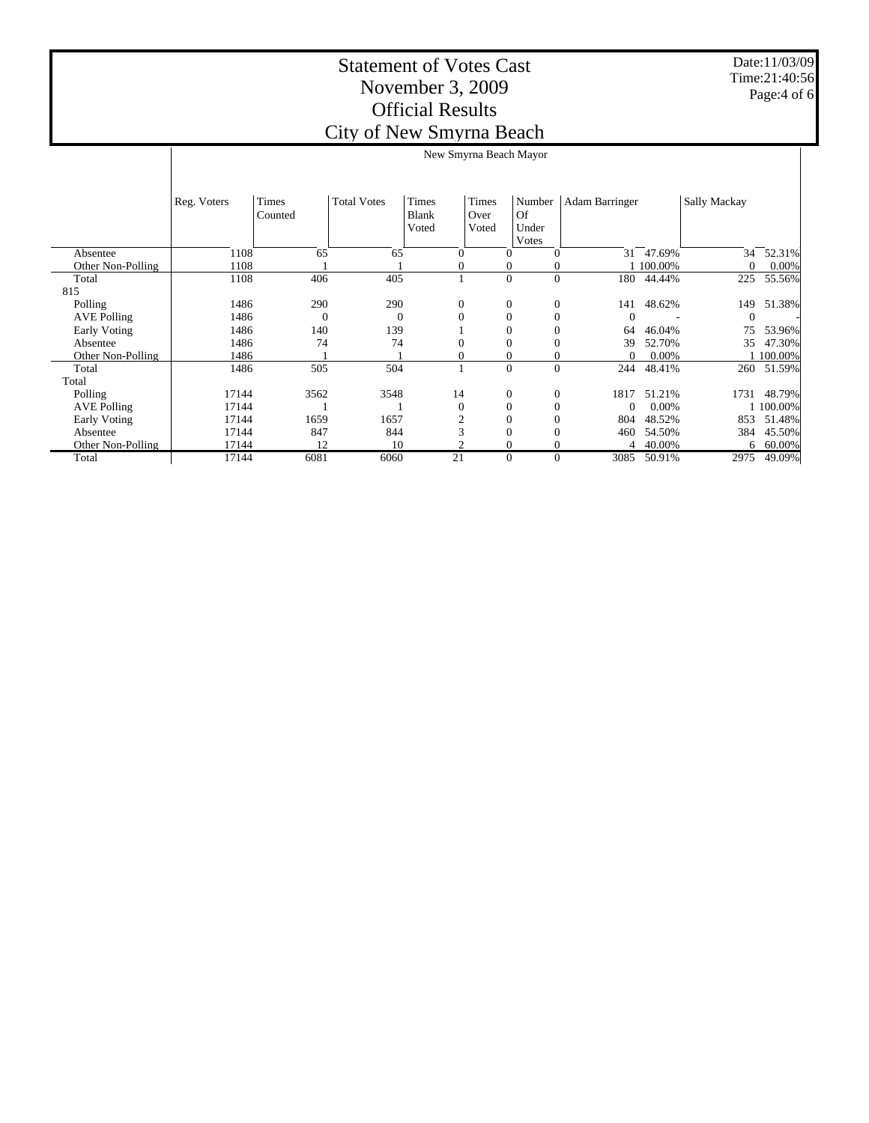|                     | New Smyrna Beach Mayor |          |                    |                  |                  |                  |                |           |                     |           |
|---------------------|------------------------|----------|--------------------|------------------|------------------|------------------|----------------|-----------|---------------------|-----------|
|                     |                        |          |                    |                  |                  |                  |                |           |                     |           |
|                     |                        |          |                    |                  |                  |                  |                |           |                     |           |
|                     |                        |          |                    |                  |                  |                  |                |           |                     |           |
|                     | Reg. Voters            | Times    | <b>Total Votes</b> | <b>Times</b>     | Times            | Number           | Adam Barringer |           | <b>Sally Mackay</b> |           |
|                     |                        | Counted  |                    | Blank            | Over             | Of               |                |           |                     |           |
|                     |                        |          |                    | Voted            | Voted            | Under            |                |           |                     |           |
|                     |                        |          |                    |                  |                  | Votes            |                |           |                     |           |
| Absentee            | 1108                   | 65       | 65                 | $\Omega$         | $\Omega$         | $\theta$         | 31             | 47.69%    | 34                  | 52.31%    |
| Other Non-Polling   | 1108                   |          |                    | 0                | 0                | 0                |                | 1 100.00% | $\theta$            | $0.00\%$  |
| Total               | 1108                   | 406      | 405                |                  | $\boldsymbol{0}$ | $\boldsymbol{0}$ | 180            | 44.44%    | 225                 | 55.56%    |
| 815                 |                        |          |                    |                  |                  |                  |                |           |                     |           |
| Polling             | 1486                   | 290      | 290                | $\boldsymbol{0}$ | $\boldsymbol{0}$ | $\boldsymbol{0}$ | 141            | 48.62%    | 149                 | 51.38%    |
| <b>AVE Polling</b>  | 1486                   | $\Omega$ | $\overline{0}$     | $\mathbf{0}$     | $\mathbf{0}$     | $\overline{0}$   | $\Omega$       |           | $\Omega$            |           |
| <b>Early Voting</b> | 1486                   | 140      | 139                |                  |                  | $\overline{0}$   | 64             | 46.04%    | 75                  | 53.96%    |
| Absentee            | 1486                   | 74       | 74                 | $\Omega$         |                  | $\overline{0}$   | 39             | 52.70%    | 35                  | 47.30%    |
| Other Non-Polling   | 1486                   |          |                    | 0                | 0                | $\boldsymbol{0}$ | $\Omega$       | 0.00%     |                     | 1 100.00% |
| Total               | 1486                   | 505      | 504                |                  | $\theta$         | $\overline{0}$   | 244            | 48.41%    | 260                 | 51.59%    |
| Total               |                        |          |                    |                  |                  |                  |                |           |                     |           |
| Polling             | 17144                  | 3562     | 3548               | 14               | $\boldsymbol{0}$ | $\boldsymbol{0}$ | 1817           | 51.21%    | 1731                | 48.79%    |
| <b>AVE Polling</b>  | 17144                  |          |                    | $\mathbf{0}$     | $\mathbf{0}$     | $\mathbf{0}$     | $\Omega$       | $0.00\%$  |                     | 1 100.00% |
| <b>Early Voting</b> | 17144                  | 1659     | 1657               | $\mathfrak{2}$   | $\overline{0}$   | $\overline{0}$   | 804            | 48.52%    | 853                 | 51.48%    |
| Absentee            | 17144                  | 847      | 844                | 3                | $\theta$         | 0                | 460            | 54.50%    | 384                 | 45.50%    |
| Other Non-Polling   | 17144                  | 12       | 10                 | ◠                |                  | $\mathbf{0}$     | 4              | 40.00%    | 6                   | 60.00%    |
| Total               | 17144                  | 6081     | 6060               | 21               | $\mathbf{0}$     | $\mathbf{0}$     | 3085           | 50.91%    | 2975                | 49.09%    |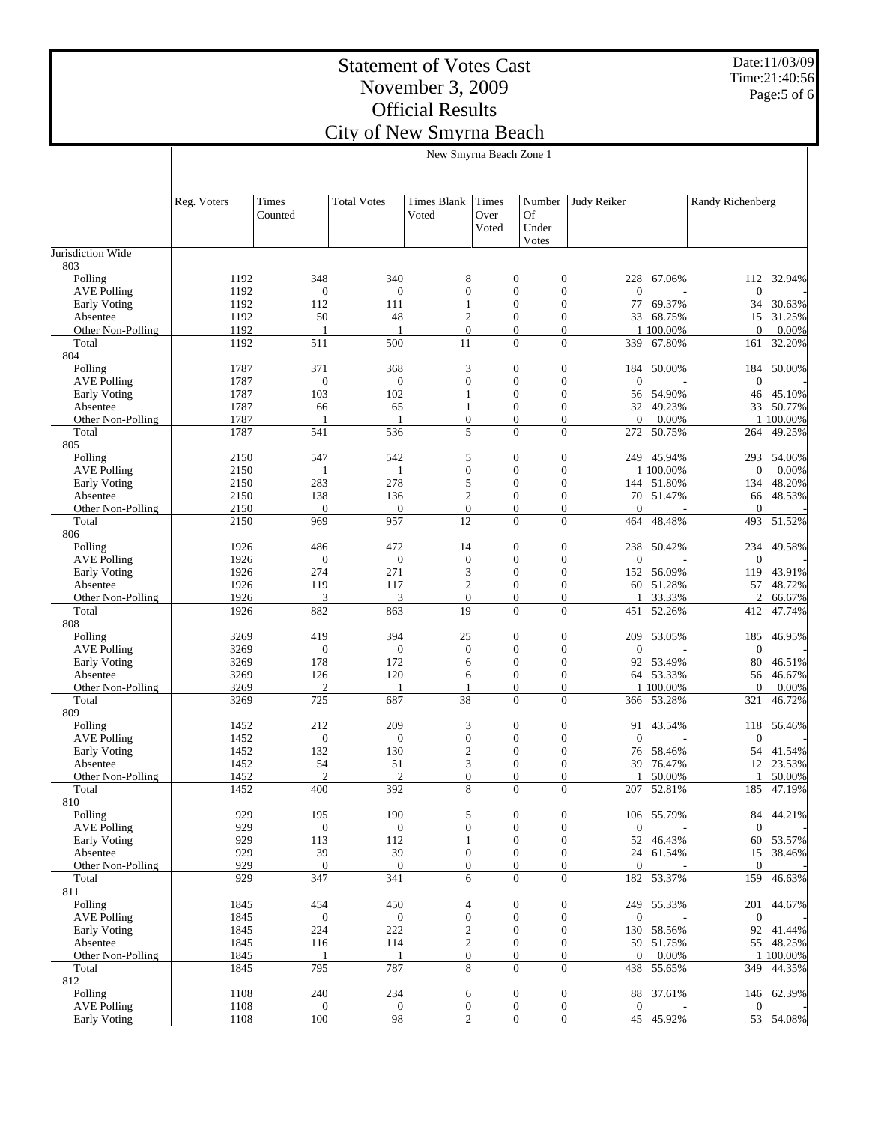Date:11/03/09 Time:21:40:56 Page:5 of 6

|                                           | New Smyrna Beach Zone 1 |                         |                         |                                    |                        |                                                                              |                       |                     |                     |                     |
|-------------------------------------------|-------------------------|-------------------------|-------------------------|------------------------------------|------------------------|------------------------------------------------------------------------------|-----------------------|---------------------|---------------------|---------------------|
|                                           |                         |                         |                         |                                    |                        |                                                                              |                       |                     |                     |                     |
|                                           | Reg. Voters             | Times<br>Counted        | <b>Total Votes</b>      | <b>Times Blank</b><br>Voted        | Times<br>Over<br>Voted | Number<br>Of<br>Under<br>Votes                                               | Judy Reiker           |                     | Randy Richenberg    |                     |
| Jurisdiction Wide                         |                         |                         |                         |                                    |                        |                                                                              |                       |                     |                     |                     |
| 803                                       |                         |                         |                         |                                    |                        |                                                                              |                       |                     |                     |                     |
| Polling<br><b>AVE Polling</b>             | 1192<br>1192            | 348<br>$\mathbf{0}$     | 340<br>$\mathbf{0}$     | 8<br>$\boldsymbol{0}$              |                        | $\mathbf{0}$<br>$\mathbf{0}$<br>$\boldsymbol{0}$<br>$\mathbf{0}$             | 228<br>$\overline{0}$ | 67.06%              | 112<br>$\mathbf{0}$ | 32.94%              |
| Early Voting                              | 1192                    | 112                     | 111                     | 1                                  |                        | $\mathbf{0}$<br>$\boldsymbol{0}$                                             | 77                    | 69.37%              | 34                  | 30.63%              |
| Absentee                                  | 1192                    | 50                      | 48                      | $\overline{c}$                     |                        | $\mathbf{0}$<br>$\boldsymbol{0}$                                             | 33                    | 68.75%              | 15                  | 31.25%              |
| Other Non-Polling                         | 1192                    | 1                       | 1                       | $\boldsymbol{0}$                   |                        | $\mathbf{0}$<br>$\boldsymbol{0}$<br>$\overline{0}$<br>$\mathbf{0}$           |                       | 1 100.00%           | $\overline{0}$      | 0.00%               |
| Total<br>804                              | 1192                    | 511                     | 500                     | 11                                 |                        |                                                                              | 339                   | 67.80%              | 161                 | 32.20%              |
| Polling                                   | 1787                    | 371                     | 368                     | 3                                  |                        | $\boldsymbol{0}$<br>$\mathbf{0}$                                             | 184                   | 50.00%              | 184                 | 50.00%              |
| <b>AVE Polling</b>                        | 1787                    | $\boldsymbol{0}$        | $\boldsymbol{0}$        | $\boldsymbol{0}$                   |                        | $\boldsymbol{0}$<br>$\mathbf{0}$                                             | $\overline{0}$        |                     | $\mathbf{0}$        |                     |
| Early Voting                              | 1787<br>1787            | 103<br>66               | 102<br>65               | 1<br>$\mathbf{1}$                  |                        | $\boldsymbol{0}$<br>$\mathbf{0}$<br>$\mathbf{0}$<br>$\boldsymbol{0}$         | 56<br>32              | 54.90%<br>49.23%    | 46                  | 45.10%<br>33 50.77% |
| Absentee<br>Other Non-Polling             | 1787                    | -1                      | $\overline{1}$          | $\boldsymbol{0}$                   |                        | $\boldsymbol{0}$<br>$\overline{0}$                                           | $\theta$              | 0.00%               |                     | 1 100.00%           |
| Total                                     | 1787                    | 541                     | 536                     | 5                                  |                        | $\overline{0}$<br>$\overline{0}$                                             | 272                   | 50.75%              | 264                 | 49.25%              |
| 805                                       |                         |                         |                         |                                    |                        |                                                                              |                       |                     |                     |                     |
| Polling                                   | 2150                    | 547                     | 542                     | 5                                  |                        | $\boldsymbol{0}$<br>$\boldsymbol{0}$<br>$\boldsymbol{0}$<br>$\mathbf{0}$     | 249                   | 45.94%              | 293                 | 54.06%              |
| <b>AVE Polling</b><br><b>Early Voting</b> | 2150<br>2150            | 1<br>283                | 1<br>278                | $\boldsymbol{0}$<br>5              |                        | $\mathbf{0}$<br>$\boldsymbol{0}$                                             | 144                   | 1 100.00%<br>51.80% | $\mathbf{0}$<br>134 | 0.00%<br>48.20%     |
| Absentee                                  | 2150                    | 138                     | 136                     | $\overline{c}$                     |                        | $\mathbf{0}$<br>$\boldsymbol{0}$                                             | 70                    | 51.47%              | 66                  | 48.53%              |
| Other Non-Polling                         | 2150                    | $\mathbf{0}$            | $\mathbf{0}$            | $\boldsymbol{0}$                   |                        | $\boldsymbol{0}$<br>$\boldsymbol{0}$                                         | $\overline{0}$        |                     | $\overline{0}$      |                     |
| Total                                     | 2150                    | 969                     | 957                     | 12                                 |                        | $\overline{0}$<br>$\mathbf{0}$                                               | 464                   | 48.48%              | 493                 | 51.52%              |
| 806<br>Polling                            | 1926                    | 486                     | 472                     | 14                                 |                        | $\boldsymbol{0}$<br>$\boldsymbol{0}$                                         | 238                   | 50.42%              | 234                 | 49.58%              |
| <b>AVE Polling</b>                        | 1926                    | $\boldsymbol{0}$        | $\mathbf{0}$            | $\mathbf{0}$                       |                        | $\boldsymbol{0}$<br>$\mathbf{0}$                                             | $\overline{0}$        |                     | $\mathbf{0}$        |                     |
| Early Voting                              | 1926                    | 274                     | 271                     | 3                                  |                        | $\boldsymbol{0}$<br>$\mathbf{0}$                                             | 152                   | 56.09%              | 119                 | 43.91%              |
| Absentee                                  | 1926                    | 119                     | 117                     | $\overline{c}$                     |                        | $\boldsymbol{0}$<br>$\boldsymbol{0}$                                         | 60                    | 51.28%              | 57                  | 48.72%              |
| Other Non-Polling<br>Total                | 1926<br>1926            | 3<br>882                | 3<br>863                | $\boldsymbol{0}$<br>19             |                        | $\boldsymbol{0}$<br>0<br>$\overline{0}$<br>$\mathbf{0}$                      | 451                   | 33.33%<br>52.26%    | 2<br>412            | 66.67%<br>47.74%    |
| 808                                       |                         |                         |                         |                                    |                        |                                                                              |                       |                     |                     |                     |
| Polling                                   | 3269                    | 419                     | 394                     | 25                                 |                        | $\boldsymbol{0}$<br>$\boldsymbol{0}$                                         | 209                   | 53.05%              | 185                 | 46.95%              |
| <b>AVE Polling</b>                        | 3269                    | $\mathbf{0}$            | $\mathbf{0}$            | $\boldsymbol{0}$                   |                        | $\boldsymbol{0}$<br>$\mathbf{0}$                                             | $\boldsymbol{0}$      |                     | $\mathbf{0}$        |                     |
| Early Voting<br>Absentee                  | 3269<br>3269            | 178<br>126              | 172<br>120              | 6<br>6                             |                        | $\boldsymbol{0}$<br>$\boldsymbol{0}$<br>$\boldsymbol{0}$<br>$\boldsymbol{0}$ | 92                    | 53.49%<br>64 53.33% | 80                  | 46.51%<br>56 46.67% |
| Other Non-Polling                         | 3269                    | 2                       | 1                       | 1                                  |                        | $\boldsymbol{0}$<br>$\boldsymbol{0}$                                         |                       | 1 100.00%           | $\overline{0}$      | 0.00%               |
| Total                                     | 3269                    | 725                     | 687                     | 38                                 |                        | $\mathbf{0}$<br>$\mathbf{0}$                                                 |                       | 366 53.28%          | 321                 | 46.72%              |
| 809                                       |                         |                         |                         |                                    |                        |                                                                              |                       |                     |                     |                     |
| Polling<br><b>AVE Polling</b>             | 1452<br>1452            | 212<br>$\boldsymbol{0}$ | 209<br>$\boldsymbol{0}$ | 3<br>$\boldsymbol{0}$              |                        | $\boldsymbol{0}$<br>$\boldsymbol{0}$<br>$\boldsymbol{0}$<br>$\mathbf{0}$     | 91<br>$\theta$        | 43.54%              | 118<br>$\theta$     | 56.46%              |
| <b>Early Voting</b>                       | 1452                    | 132                     | 130                     | $\boldsymbol{2}$                   |                        | $\boldsymbol{0}$<br>$\boldsymbol{0}$                                         | 76                    | 58.46%              | 54                  | 41.54%              |
| Absentee                                  | 1452                    | 54                      | 51                      | 3                                  |                        | $\mathbf{0}$<br>$\boldsymbol{0}$                                             | 39                    | 76.47%              | 12                  | 23.53%              |
| Other Non-Polling                         | 1452                    | $\overline{2}$          | $\overline{2}$          | $\Omega$                           |                        | $\Omega$<br>$\Omega$                                                         | 1                     | 50.00%              | $\mathbf{1}$        | 50.00%              |
| Total<br>810                              | 1452                    | 400                     | 392                     | 8                                  |                        | $\mathbf{0}$<br>$\boldsymbol{0}$                                             |                       | 207 52.81%          |                     | 185 47.19%          |
| Polling                                   | 929                     | 195                     | 190                     | 5                                  |                        | $\boldsymbol{0}$<br>$\boldsymbol{0}$                                         | 106                   | 55.79%              | 84                  | 44.21%              |
| <b>AVE Polling</b>                        | 929                     | $\boldsymbol{0}$        | $\mathbf{0}$            | $\boldsymbol{0}$                   |                        | $\boldsymbol{0}$<br>$\boldsymbol{0}$                                         | $\mathbf{0}$          |                     | $\theta$            |                     |
| Early Voting                              | 929                     | 113                     | 112                     | $\mathbf{1}$                       |                        | $\boldsymbol{0}$<br>$\boldsymbol{0}$                                         |                       | 52 46.43%           | 60                  | 53.57%              |
| Absentee<br>Other Non-Polling             | 929<br>929              | 39<br>$\mathbf{0}$      | 39<br>$\mathbf{0}$      | $\boldsymbol{0}$<br>$\overline{0}$ |                        | $\boldsymbol{0}$<br>$\boldsymbol{0}$<br>$\boldsymbol{0}$<br>$\boldsymbol{0}$ | 24<br>$\theta$        | 61.54%              | 15<br>$\mathbf{0}$  | 38.46%              |
| Total                                     | 929                     | 347                     | 341                     | 6                                  |                        | $\overline{0}$<br>$\mathbf{0}$                                               | 182                   | 53.37%              | 159                 | 46.63%              |
| 811                                       |                         |                         |                         |                                    |                        |                                                                              |                       |                     |                     |                     |
| Polling                                   | 1845                    | 454                     | 450                     | 4                                  |                        | $\boldsymbol{0}$<br>$\boldsymbol{0}$                                         | 249                   | 55.33%              |                     | 201 44.67%          |
| <b>AVE Polling</b><br>Early Voting        | 1845<br>1845            | $\boldsymbol{0}$<br>224 | $\mathbf{0}$<br>222     | $\boldsymbol{0}$<br>$\overline{c}$ |                        | $\boldsymbol{0}$<br>$\boldsymbol{0}$<br>$\boldsymbol{0}$<br>$\boldsymbol{0}$ | $\mathbf{0}$<br>130   | 58.56%              | $\mathbf{0}$<br>92  | 41.44%              |
| Absentee                                  | 1845                    | 116                     | 114                     | $\overline{c}$                     |                        | $\boldsymbol{0}$<br>$\boldsymbol{0}$                                         |                       | 59 51.75%           |                     | 55 48.25%           |
| Other Non-Polling                         | 1845                    | 1                       | 1                       | $\overline{0}$                     |                        | $\boldsymbol{0}$<br>$\boldsymbol{0}$                                         | $\boldsymbol{0}$      | 0.00%               |                     | 1 100.00%           |
| Total                                     | 1845                    | 795                     | 787                     | 8                                  |                        | $\overline{0}$<br>$\mathbf{0}$                                               | 438                   | 55.65%              | 349                 | 44.35%              |
| 812<br>Polling                            | 1108                    | 240                     | 234                     | 6                                  |                        | $\boldsymbol{0}$<br>$\boldsymbol{0}$                                         | 88                    | 37.61%              | 146                 | 62.39%              |
| <b>AVE Polling</b>                        | 1108                    | $\boldsymbol{0}$        | $\mathbf{0}$            | $\boldsymbol{0}$                   |                        | $\boldsymbol{0}$<br>$\boldsymbol{0}$                                         | $\mathbf{0}$          |                     | $\overline{0}$      |                     |
| Early Voting                              | 1108                    | 100                     | 98                      | $\overline{c}$                     |                        | $\boldsymbol{0}$<br>$\boldsymbol{0}$                                         |                       | 45 45.92%           |                     | 53 54.08%           |